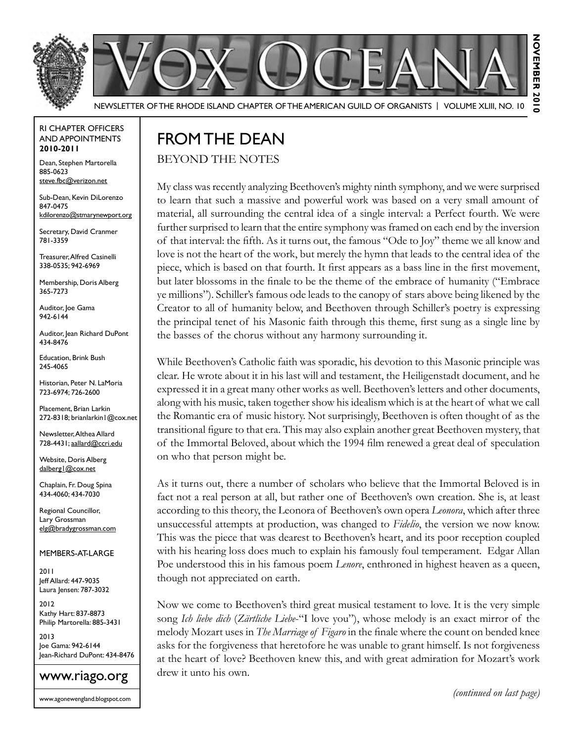



Newsletter of the Rhode Island Chapter of the American Guild of OrganistS | Volume XLIII, No. 10

#### RI Chapter Officers and Appointments **2010-2011**

Dean, Stephen Martorella 885-0623 steve.fbc@verizon.net

Sub-Dean, Kevin DiLorenzo 847-0475 kdilorenzo@stmarynewport.org

Secretary, David Cranmer 781-3359

Treasurer, Alfred Casinelli 338-0535; 942-6969

Membership, Doris Alberg 365-7273

Auditor, Joe Gama 942-6144

Auditor, Jean Richard DuPont 434-8476

Education, Brink Bush 245-4065

Historian, Peter N. LaMoria 723-6974; 726-2600

Placement, Brian Larkin 272-8318; brianlarkin1@cox.net

Newsletter, Althea Allard 728-4431; aallard@ccri.edu

Website, Doris Alberg dalberg1@cox.net

Chaplain, Fr. Doug Spina 434-4060; 434-7030

Regional Councillor, Lary Grossman elg@bradygrossman.com

#### Members-at-Large

2011 Jeff Allard: 447-9035 Laura Jensen: 787-3032

2012 Kathy Hart: 837-8873 Philip Martorella: 885-3431

2013 Joe Gama: 942-6144 Jean-Richard DuPont: 434-8476

#### www.riago.org

www.agonewengland.blogspot.com

# FROM THE DEAN

#### Beyond the Notes

My class was recently analyzing Beethoven's mighty ninth symphony, and we were surprised to learn that such a massive and powerful work was based on a very small amount of material, all surrounding the central idea of a single interval: a Perfect fourth. We were further surprised to learn that the entire symphony was framed on each end by the inversion of that interval: the fifth. As it turns out, the famous "Ode to Joy" theme we all know and love is not the heart of the work, but merely the hymn that leads to the central idea of the piece, which is based on that fourth. It first appears as a bass line in the first movement, but later blossoms in the finale to be the theme of the embrace of humanity ("Embrace ye millions"). Schiller's famous ode leads to the canopy of stars above being likened by the Creator to all of humanity below, and Beethoven through Schiller's poetry is expressing the principal tenet of his Masonic faith through this theme, first sung as a single line by the basses of the chorus without any harmony surrounding it.

While Beethoven's Catholic faith was sporadic, his devotion to this Masonic principle was clear. He wrote about it in his last will and testament, the Heiligenstadt document, and he expressed it in a great many other works as well. Beethoven's letters and other documents, along with his music, taken together show his idealism which is at the heart of what we call the Romantic era of music history. Not surprisingly, Beethoven is often thought of as the transitional figure to that era. This may also explain another great Beethoven mystery, that of the Immortal Beloved, about which the 1994 film renewed a great deal of speculation on who that person might be.

As it turns out, there a number of scholars who believe that the Immortal Beloved is in fact not a real person at all, but rather one of Beethoven's own creation. She is, at least according to this theory, the Leonora of Beethoven's own opera *Leonora*, which after three unsuccessful attempts at production, was changed to *Fidelio*, the version we now know. This was the piece that was dearest to Beethoven's heart, and its poor reception coupled with his hearing loss does much to explain his famously foul temperament. Edgar Allan Poe understood this in his famous poem *Lenore*, enthroned in highest heaven as a queen, though not appreciated on earth.

Now we come to Beethoven's third great musical testament to love. It is the very simple song *Ich liebe dich* (*Zärtliche Liebe*-"I love you"), whose melody is an exact mirror of the melody Mozart uses in *The Marriage of Figaro* in the finale where the count on bended knee asks for the forgiveness that heretofore he was unable to grant himself. Is not forgiveness at the heart of love? Beethoven knew this, and with great admiration for Mozart's work drew it unto his own.

*(continued on last page)*

NOVEMBER 2010

る

NOVEMBER 201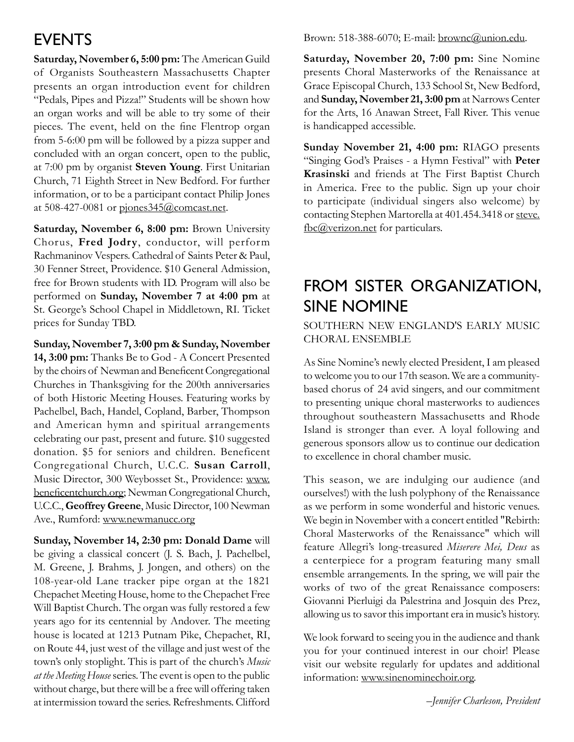### **EVENTS**

**Saturday, November 6, 5:00 pm:** The American Guild of Organists Southeastern Massachusetts Chapter presents an organ introduction event for children "Pedals, Pipes and Pizza!" Students will be shown how an organ works and will be able to try some of their pieces. The event, held on the fine Flentrop organ from 5-6:00 pm will be followed by a pizza supper and concluded with an organ concert, open to the public, at 7:00 pm by organist **Steven Young**. First Unitarian Church, 71 Eighth Street in New Bedford. For further information, or to be a participant contact Philip Jones at 508-427-0081 or pjones345@comcast.net.

**Saturday, November 6, 8:00 pm:** Brown University Chorus, **Fred Jodry**, conductor, will perform Rachmaninov Vespers. Cathedral of Saints Peter & Paul, 30 Fenner Street, Providence. \$10 General Admission, free for Brown students with ID. Program will also be performed on **Sunday, November 7 at 4:00 pm** at St. George's School Chapel in Middletown, RI. Ticket prices for Sunday TBD.

**Sunday, November 7, 3:00 pm & Sunday, November 14, 3:00 pm:** Thanks Be to God - A Concert Presented by the choirs of Newman and Beneficent Congregational Churches in Thanksgiving for the 200th anniversaries of both Historic Meeting Houses. Featuring works by Pachelbel, Bach, Handel, Copland, Barber, Thompson and American hymn and spiritual arrangements celebrating our past, present and future. \$10 suggested donation. \$5 for seniors and children. Beneficent Congregational Church, U.C.C. **Susan Carroll**, Music Director, 300 Weybosset St., Providence: www. beneficentchurch.org; Newman Congregational Church, U.C.C., **Geoffrey Greene**, Music Director, 100 Newman Ave., Rumford: www.newmanucc.org

**Sunday, November 14, 2:30 pm: Donald Dame** will be giving a classical concert (J. S. Bach, J. Pachelbel, M. Greene, J. Brahms, J. Jongen, and others) on the 108-year-old Lane tracker pipe organ at the 1821 Chepachet Meeting House, home to the Chepachet Free Will Baptist Church. The organ was fully restored a few years ago for its centennial by Andover. The meeting house is located at 1213 Putnam Pike, Chepachet, RI, on Route 44, just west of the village and just west of the town's only stoplight. This is part of the church's *Music at the Meeting House* series. The event is open to the public without charge, but there will be a free will offering taken at intermission toward the series. Refreshments. Clifford

Brown: 518-388-6070; E-mail: brownc@union.edu.

**Saturday, November 20, 7:00 pm:** Sine Nomine presents Choral Masterworks of the Renaissance at Grace Episcopal Church, 133 School St, New Bedford, and **Sunday, November 21, 3:00 pm** at Narrows Center for the Arts, 16 Anawan Street, Fall River. This venue is handicapped accessible.

**Sunday November 21, 4:00 pm:** RIAGO presents "Singing God's Praises - a Hymn Festival" with **Peter Krasinski** and friends at The First Baptist Church in America. Free to the public. Sign up your choir to participate (individual singers also welcome) by contacting Stephen Martorella at 401.454.3418 or steve. fbc@verizon.net for particulars.

### FROM SISTER ORGANIZATION. Sine Nomine

Southern New England's Early Music Choral Ensemble

As Sine Nomine's newly elected President, I am pleased to welcome you to our 17th season. We are a communitybased chorus of 24 avid singers, and our commitment to presenting unique choral masterworks to audiences throughout southeastern Massachusetts and Rhode Island is stronger than ever. A loyal following and generous sponsors allow us to continue our dedication to excellence in choral chamber music.

This season, we are indulging our audience (and ourselves!) with the lush polyphony of the Renaissance as we perform in some wonderful and historic venues. We begin in November with a concert entitled "Rebirth: Choral Masterworks of the Renaissance" which will feature Allegri's long-treasured *Miserere Mei, Deus* as a centerpiece for a program featuring many small ensemble arrangements. In the spring, we will pair the works of two of the great Renaissance composers: Giovanni Pierluigi da Palestrina and Josquin des Prez, allowing us to savor this important era in music's history.

We look forward to seeing you in the audience and thank you for your continued interest in our choir! Please visit our website regularly for updates and additional information: www.sinenominechoir.org.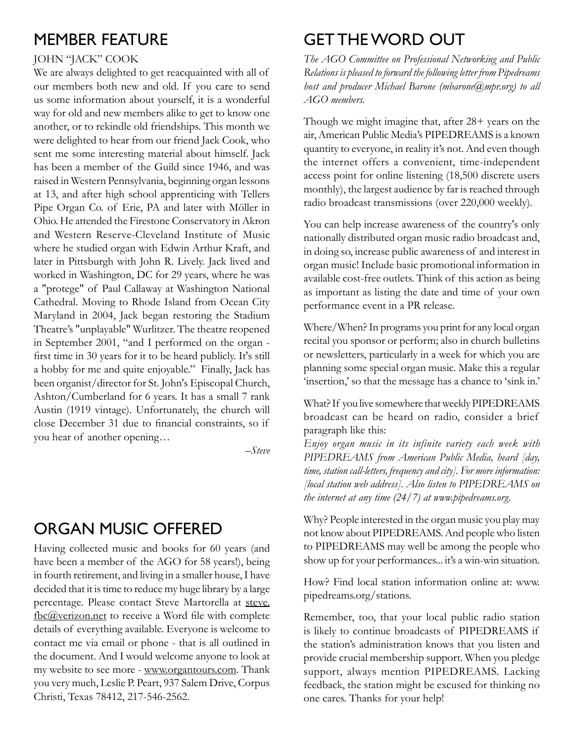#### Member Feature

#### John "Jack" Cook

We are always delighted to get reacquainted with all of our members both new and old. If you care to send us some information about yourself, it is a wonderful way for old and new members alike to get to know one another, or to rekindle old friendships. This month we were delighted to hear from our friend Jack Cook, who sent me some interesting material about himself. Jack has been a member of the Guild since 1946, and was raised in Western Pennsylvania, beginning organ lessons at 13, and after high school apprenticing with Tellers Pipe Organ Co. of Erie, PA and later with Möller in Ohio. He attended the Firestone Conservatory in Akron and Western Reserve-Cleveland Institute of Music where he studied organ with Edwin Arthur Kraft, and later in Pittsburgh with John R. Lively. Jack lived and worked in Washington, DC for 29 years, where he was a "protege" of Paul Callaway at Washington National Cathedral. Moving to Rhode Island from Ocean City Maryland in 2004, Jack began restoring the Stadium Theatre's "unplayable" Wurlitzer. The theatre reopened in September 2001, "and I performed on the organ first time in 30 years for it to be heard publicly. It's still a hobby for me and quite enjoyable." Finally, Jack has been organist/director for St. John's Episcopal Church, Ashton/Cumberland for 6 years. It has a small 7 rank Austin (1919 vintage). Unfortunately, the church will close December 31 due to financial constraints, so if you hear of another opening…

*–Steve*

## Organ music offered

Having collected music and books for 60 years (and have been a member of the AGO for 58 years!), being in fourth retirement, and living in a smaller house, I have decided that it is time to reduce my huge library by a large percentage. Please contact Steve Martorella at steve. fbc@verizon.net to receive a Word file with complete details of everything available. Everyone is welcome to contact me via email or phone - that is all outlined in the document. And I would welcome anyone to look at my website to see more - www.organtours.com. Thank you very much, Leslie P. Peart, 937 Salem Drive, Corpus Christi, Texas 78412, 217-546-2562.

# Get the word out

*The AGO Committee on Professional Networking and Public Relations is pleased to forward the following letter from Pipedreams host and producer Michael Barone (mbarone@mpr.org) to all AGO members.*

Though we might imagine that, after 28+ years on the air, American Public Media's PIPEDREAMS is a known quantity to everyone, in reality it's not. And even though the internet offers a convenient, time-independent access point for online listening (18,500 discrete users monthly), the largest audience by far is reached through radio broadcast transmissions (over 220,000 weekly).

You can help increase awareness of the country's only nationally distributed organ music radio broadcast and, in doing so, increase public awareness of and interest in organ music! Include basic promotional information in available cost-free outlets. Think of this action as being as important as listing the date and time of your own performance event in a PR release.

Where/When? In programs you print for any local organ recital you sponsor or perform; also in church bulletins or newsletters, particularly in a week for which you are planning some special organ music. Make this a regular 'insertion,' so that the message has a chance to 'sink in.'

What? If you live somewhere that weekly PIPEDREAMS broadcast can be heard on radio, consider a brief paragraph like this:

*Enjoy organ music in its infinite variety each week with PIPEDREAMS from American Public Media, heard [day, time, station call-letters, frequency and city]. For more information: [local station web address]. Also listen to PIPEDREAMS on the internet at any time (24/7) at www.pipedreams.org.*

Why? People interested in the organ music you play may not know about PIPEDREAMS. And people who listen to PIPEDREAMS may well be among the people who show up for your performances... it's a win-win situation.

How? Find local station information online at: www. pipedreams.org/stations.

Remember, too, that your local public radio station is likely to continue broadcasts of PIPEDREAMS if the station's administration knows that you listen and provide crucial membership support. When you pledge support, always mention PIPEDREAMS. Lacking feedback, the station might be excused for thinking no one cares. Thanks for your help!